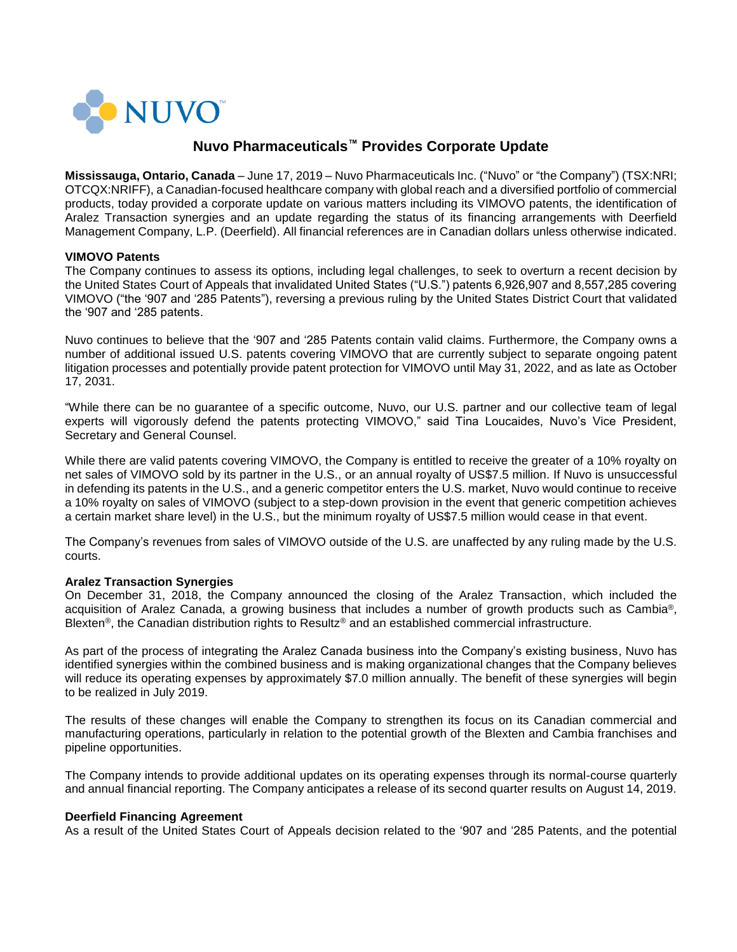

# **Nuvo Pharmaceuticals™ Provides Corporate Update**

**Mississauga, Ontario, Canada** – June 17, 2019 – Nuvo Pharmaceuticals Inc. ("Nuvo" or "the Company") (TSX:NRI; OTCQX:NRIFF), a Canadian-focused healthcare company with global reach and a diversified portfolio of commercial products, today provided a corporate update on various matters including its VIMOVO patents, the identification of Aralez Transaction synergies and an update regarding the status of its financing arrangements with Deerfield Management Company, L.P. (Deerfield). All financial references are in Canadian dollars unless otherwise indicated.

## **VIMOVO Patents**

The Company continues to assess its options, including legal challenges, to seek to overturn a recent decision by the United States Court of Appeals that invalidated United States ("U.S.") patents 6,926,907 and 8,557,285 covering VIMOVO ("the '907 and '285 Patents"), reversing a previous ruling by the United States District Court that validated the '907 and '285 patents.

Nuvo continues to believe that the '907 and '285 Patents contain valid claims. Furthermore, the Company owns a number of additional issued U.S. patents covering VIMOVO that are currently subject to separate ongoing patent litigation processes and potentially provide patent protection for VIMOVO until May 31, 2022, and as late as October 17, 2031.

"While there can be no guarantee of a specific outcome, Nuvo, our U.S. partner and our collective team of legal experts will vigorously defend the patents protecting VIMOVO," said Tina Loucaides, Nuvo's Vice President, Secretary and General Counsel.

While there are valid patents covering VIMOVO, the Company is entitled to receive the greater of a 10% royalty on net sales of VIMOVO sold by its partner in the U.S., or an annual royalty of US\$7.5 million. If Nuvo is unsuccessful in defending its patents in the U.S., and a generic competitor enters the U.S. market, Nuvo would continue to receive a 10% royalty on sales of VIMOVO (subject to a step-down provision in the event that generic competition achieves a certain market share level) in the U.S., but the minimum royalty of US\$7.5 million would cease in that event.

The Company's revenues from sales of VIMOVO outside of the U.S. are unaffected by any ruling made by the U.S. courts.

# **Aralez Transaction Synergies**

On December 31, 2018, the Company announced the closing of the Aralez Transaction, which included the acquisition of Aralez Canada, a growing business that includes a number of growth products such as Cambia®, Blexten<sup>®</sup>, the Canadian distribution rights to Resultz<sup>®</sup> and an established commercial infrastructure.

As part of the process of integrating the Aralez Canada business into the Company's existing business, Nuvo has identified synergies within the combined business and is making organizational changes that the Company believes will reduce its operating expenses by approximately \$7.0 million annually. The benefit of these synergies will begin to be realized in July 2019.

The results of these changes will enable the Company to strengthen its focus on its Canadian commercial and manufacturing operations, particularly in relation to the potential growth of the Blexten and Cambia franchises and pipeline opportunities.

The Company intends to provide additional updates on its operating expenses through its normal-course quarterly and annual financial reporting. The Company anticipates a release of its second quarter results on August 14, 2019.

#### **Deerfield Financing Agreement**

As a result of the United States Court of Appeals decision related to the '907 and '285 Patents, and the potential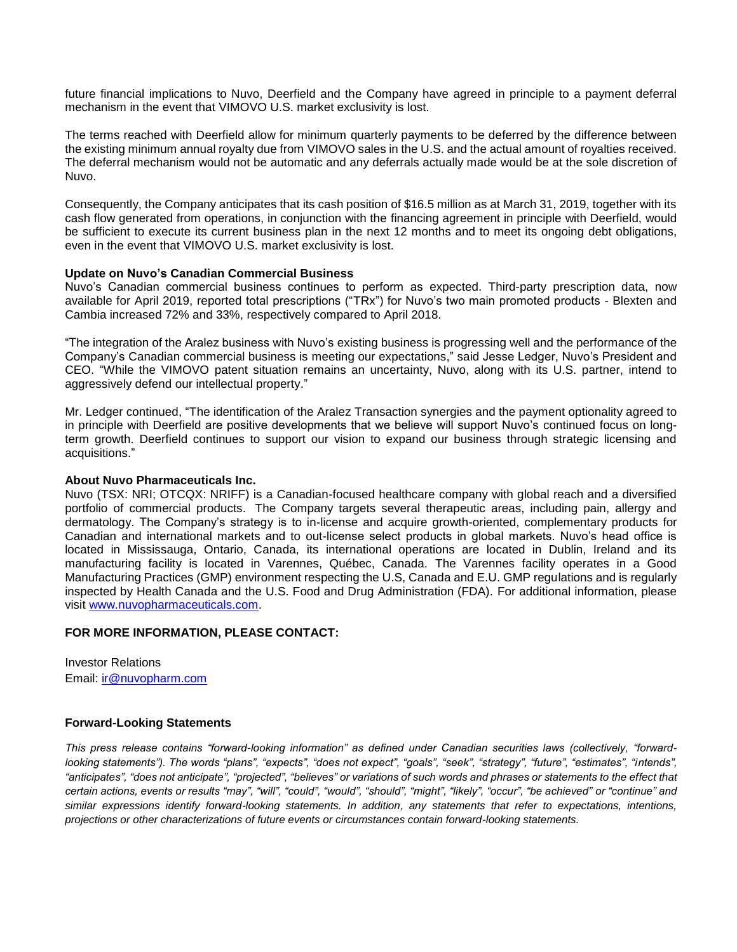future financial implications to Nuvo, Deerfield and the Company have agreed in principle to a payment deferral mechanism in the event that VIMOVO U.S. market exclusivity is lost.

The terms reached with Deerfield allow for minimum quarterly payments to be deferred by the difference between the existing minimum annual royalty due from VIMOVO sales in the U.S. and the actual amount of royalties received. The deferral mechanism would not be automatic and any deferrals actually made would be at the sole discretion of Nuvo.

Consequently, the Company anticipates that its cash position of \$16.5 million as at March 31, 2019, together with its cash flow generated from operations, in conjunction with the financing agreement in principle with Deerfield, would be sufficient to execute its current business plan in the next 12 months and to meet its ongoing debt obligations, even in the event that VIMOVO U.S. market exclusivity is lost.

## **Update on Nuvo's Canadian Commercial Business**

Nuvo's Canadian commercial business continues to perform as expected. Third-party prescription data, now available for April 2019, reported total prescriptions ("TRx") for Nuvo's two main promoted products - Blexten and Cambia increased 72% and 33%, respectively compared to April 2018.

"The integration of the Aralez business with Nuvo's existing business is progressing well and the performance of the Company's Canadian commercial business is meeting our expectations," said Jesse Ledger, Nuvo's President and CEO. "While the VIMOVO patent situation remains an uncertainty, Nuvo, along with its U.S. partner, intend to aggressively defend our intellectual property."

Mr. Ledger continued, "The identification of the Aralez Transaction synergies and the payment optionality agreed to in principle with Deerfield are positive developments that we believe will support Nuvo's continued focus on longterm growth. Deerfield continues to support our vision to expand our business through strategic licensing and acquisitions."

#### **About Nuvo Pharmaceuticals Inc.**

Nuvo (TSX: NRI; OTCQX: NRIFF) is a Canadian-focused healthcare company with global reach and a diversified portfolio of commercial products. The Company targets several therapeutic areas, including pain, allergy and dermatology. The Company's strategy is to in-license and acquire growth-oriented, complementary products for Canadian and international markets and to out-license select products in global markets. Nuvo's head office is located in Mississauga, Ontario, Canada, its international operations are located in Dublin, Ireland and its manufacturing facility is located in Varennes, Québec, Canada. The Varennes facility operates in a Good Manufacturing Practices (GMP) environment respecting the U.S, Canada and E.U. GMP regulations and is regularly inspected by Health Canada and the U.S. Food and Drug Administration (FDA). For additional information, please visit [www.nuvopharmaceuticals.com.](http://www.nuvopharmaceuticals.com/)

# **FOR MORE INFORMATION, PLEASE CONTACT:**

Investor Relations Email: [ir@nuvopharm.com](mailto:ir@nuvopharm.com)

# **Forward-Looking Statements**

*This press release contains "forward-looking information" as defined under Canadian securities laws (collectively, "forwardlooking statements"). The words "plans", "expects", "does not expect", "goals", "seek", "strategy", "future", "estimates", "intends",*  "anticipates", "does not anticipate", "projected", "believes" or variations of such words and phrases or statements to the effect that *certain actions, events or results "may", "will", "could", "would", "should", "might", "likely", "occur", "be achieved" or "continue" and similar expressions identify forward-looking statements. In addition, any statements that refer to expectations, intentions, projections or other characterizations of future events or circumstances contain forward-looking statements.*